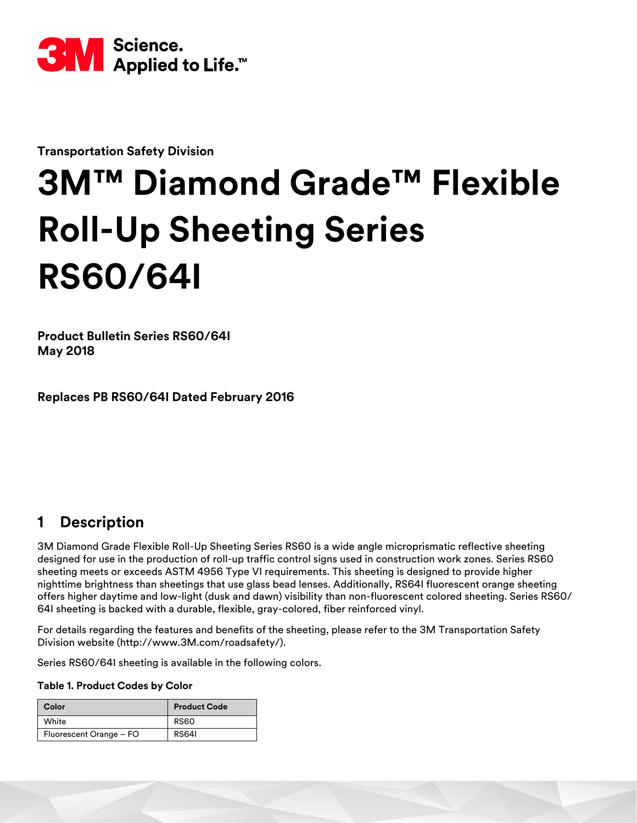

**Transportation Safety Division**

# **3M™ Diamond Grade™ Flexible Roll-Up Sheeting Series RS60/64I**

**Product Bulletin Series RS60/64I May 2018**

**Replaces PB RS60/64I Dated February 2016**

## **1 Description**

3M Diamond Grade Flexible Roll-Up Sheeting Series RS60 is a wide angle microprismatic reflective sheeting designed for use in the production of roll-up traffic control signs used in construction work zones. Series RS60 sheeting meets or exceeds ASTM 4956 Type VI requirements. This sheeting is designed to provide higher nighttime brightness than sheetings that use glass bead lenses. Additionally, RS64I fluorescent orange sheeting offers higher daytime and low-light (dusk and dawn) visibility than non-fluorescent colored sheeting. Series RS60/ 64I sheeting is backed with a durable, flexible, gray-colored, fiber reinforced vinyl.

For details regarding the features and benefits of the sheeting, please refer to the 3M Transportation Safety Division website (http://www.3M.com/roadsafety/).

Series RS60/64I sheeting is available in the following colors.

#### **Table 1. Product Codes by Color**

| Color                   | <b>Product Code</b> |  |  |  |
|-------------------------|---------------------|--|--|--|
| White                   | <b>RS60</b>         |  |  |  |
| Fluorescent Orange - FO | <b>RS641</b>        |  |  |  |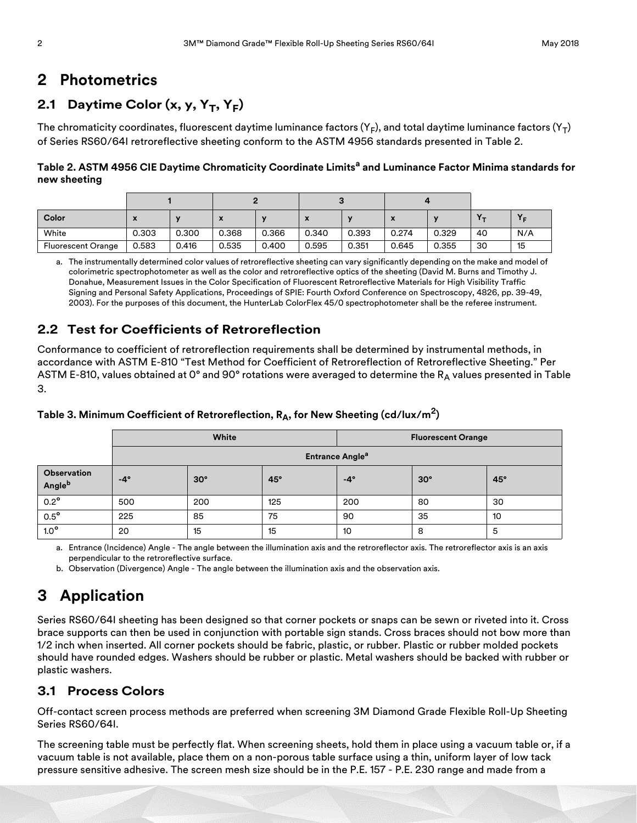## **2 Photometrics**

## 2.1 Daytime Color  $(x, y, Y_T, Y_F)$

The chromaticity coordinates, fluorescent daytime luminance factors  $(Y_F)$ , and total daytime luminance factors  $(Y_T)$ of Series RS60/64I retroreflective sheeting conform to the ASTM 4956 standards presented in Table 2.

**Table 2. ASTM 4956 CIE Daytime Chromaticity Coordinate Limitsa and Luminance Factor Minima standards for new sheeting**

| Color                     | х     |       | $\boldsymbol{\mathcal{L}}$ |       | $\mathbf{v}$ |       | $\boldsymbol{\mathsf{A}}$ |       |    |     |
|---------------------------|-------|-------|----------------------------|-------|--------------|-------|---------------------------|-------|----|-----|
| White                     | 0.303 | 0.300 | 0.368                      | 0.366 | 0.340        | 0.393 | 0.274                     | 0.329 | 40 | N/A |
| <b>Fluorescent Orange</b> | 0.583 | 0.416 | 0.535                      | 0.400 | 0.595        | 0.351 | 0.645                     | 0.355 | 30 | 15  |

a. The instrumentally determined color values of retroreflective sheeting can vary significantly depending on the make and model of colorimetric spectrophotometer as well as the color and retroreflective optics of the sheeting (David M. Burns and Timothy J. Donahue, Measurement Issues in the Color Specification of Fluorescent Retroreflective Materials for High Visibility Traffic Signing and Personal Safety Applications, Proceedings of SPIE: Fourth Oxford Conference on Spectroscopy, 4826, pp. 39-49, 2003). For the purposes of this document, the HunterLab ColorFlex 45/0 spectrophotometer shall be the referee instrument.

## **2.2 Test for Coefficients of Retroreflection**

Conformance to coefficient of retroreflection requirements shall be determined by instrumental methods, in accordance with ASTM E-810 "Test Method for Coefficient of Retroreflection of Retroreflective Sheeting." Per ASTM E-810, values obtained at 0° and 90° rotations were averaged to determine the R<sub>A</sub> values presented in Table 3.

|                       |                                   | White      |     | <b>Fluorescent Orange</b> |            |     |
|-----------------------|-----------------------------------|------------|-----|---------------------------|------------|-----|
|                       | <b>Entrance Angle<sup>a</sup></b> |            |     |                           |            |     |
| Observation<br>Angleb | $-4^\circ$                        | $30^\circ$ | 45° | $-4^\circ$                | $30^\circ$ | 45° |
| $0.2^{\circ}$         | 500                               | 200        | 125 | 200                       | 80         | 30  |
| $0.5^{\circ}$         | 225                               | 85         | 75  | 90                        | 35         | 10  |
| $1.0^{\circ}$         | 20                                | 15         | 15  | 10                        | 8          | 5   |

#### **Table 3. Minimum Coefficient of Retroreflection, RA, for New Sheeting (cd/lux/m2)**

a. Entrance (Incidence) Angle - The angle between the illumination axis and the retroreflector axis. The retroreflector axis is an axis perpendicular to the retroreflective surface.

b. Observation (Divergence) Angle - The angle between the illumination axis and the observation axis.

# **3 Application**

Series RS60/64I sheeting has been designed so that corner pockets or snaps can be sewn or riveted into it. Cross brace supports can then be used in conjunction with portable sign stands. Cross braces should not bow more than 1/2 inch when inserted. All corner pockets should be fabric, plastic, or rubber. Plastic or rubber molded pockets should have rounded edges. Washers should be rubber or plastic. Metal washers should be backed with rubber or plastic washers.

#### **3.1 Process Colors**

Off-contact screen process methods are preferred when screening 3M Diamond Grade Flexible Roll-Up Sheeting Series RS60/64I.

The screening table must be perfectly flat. When screening sheets, hold them in place using a vacuum table or, if a vacuum table is not available, place them on a non-porous table surface using a thin, uniform layer of low tack pressure sensitive adhesive. The screen mesh size should be in the P.E. 157 - P.E. 230 range and made from a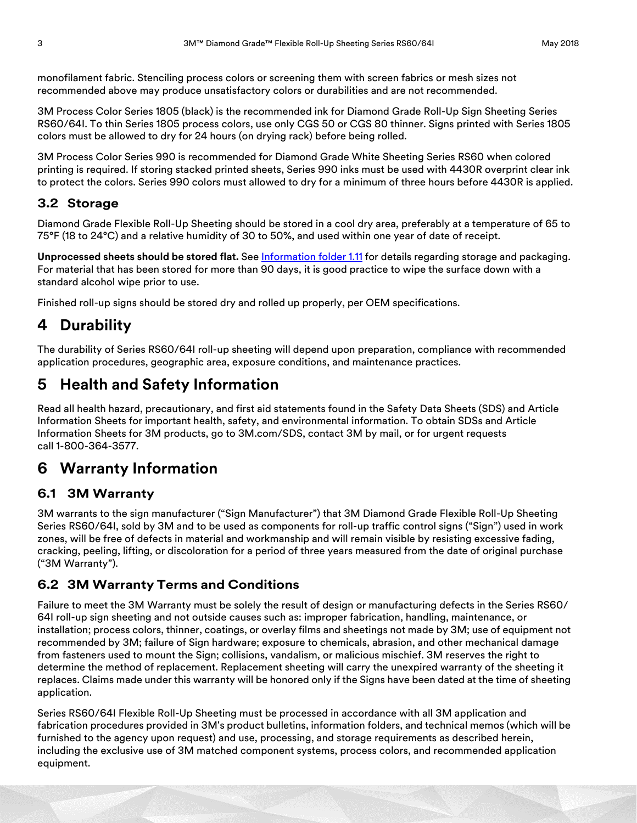monofilament fabric. Stenciling process colors or screening them with screen fabrics or mesh sizes not recommended above may produce unsatisfactory colors or durabilities and are not recommended.

3M Process Color Series 1805 (black) is the recommended ink for Diamond Grade Roll-Up Sign Sheeting Series RS60/64I. To thin Series 1805 process colors, use only CGS 50 or CGS 80 thinner. Signs printed with Series 1805 colors must be allowed to dry for 24 hours (on drying rack) before being rolled.

3M Process Color Series 990 is recommended for Diamond Grade White Sheeting Series RS60 when colored printing is required. If storing stacked printed sheets, Series 990 inks must be used with 4430R overprint clear ink to protect the colors. Series 990 colors must allowed to dry for a minimum of three hours before 4430R is applied.

#### **3.2 Storage**

Diamond Grade Flexible Roll-Up Sheeting should be stored in a cool dry area, preferably at a temperature of 65 to 75°F (18 to 24°C) and a relative humidity of 30 to 50%, and used within one year of date of receipt.

**Unprocessed sheets should be stored flat.** See [Information folder 1.11](http://multimedia.3m.com/mws/media/42262O/if-1-11-3m-reflective-shtg-sign-maintenance-management.pdf) for details regarding storage and packaging. For material that has been stored for more than 90 days, it is good practice to wipe the surface down with a standard alcohol wipe prior to use.

Finished roll-up signs should be stored dry and rolled up properly, per OEM specifications.

## **4 Durability**

The durability of Series RS60/64I roll-up sheeting will depend upon preparation, compliance with recommended application procedures, geographic area, exposure conditions, and maintenance practices.

## **5 Health and Safety Information**

Read all health hazard, precautionary, and first aid statements found in the Safety Data Sheets (SDS) and Article Information Sheets for important health, safety, and environmental information. To obtain SDSs and Article Information Sheets for 3M products, go to 3M.com/SDS, contact 3M by mail, or for urgent requests call 1-800-364-3577.

## **6 Warranty Information**

#### **6.1 3M Warranty**

3M warrants to the sign manufacturer ("Sign Manufacturer") that 3M Diamond Grade Flexible Roll-Up Sheeting Series RS60/64I, sold by 3M and to be used as components for roll-up traffic control signs ("Sign") used in work zones, will be free of defects in material and workmanship and will remain visible by resisting excessive fading, cracking, peeling, lifting, or discoloration for a period of three years measured from the date of original purchase ("3M Warranty").

#### **6.2 3M Warranty Terms and Conditions**

Failure to meet the 3M Warranty must be solely the result of design or manufacturing defects in the Series RS60/ 64I roll-up sign sheeting and not outside causes such as: improper fabrication, handling, maintenance, or installation; process colors, thinner, coatings, or overlay films and sheetings not made by 3M; use of equipment not recommended by 3M; failure of Sign hardware; exposure to chemicals, abrasion, and other mechanical damage from fasteners used to mount the Sign; collisions, vandalism, or malicious mischief. 3M reserves the right to determine the method of replacement. Replacement sheeting will carry the unexpired warranty of the sheeting it replaces. Claims made under this warranty will be honored only if the Signs have been dated at the time of sheeting application.

Series RS60/64I Flexible Roll-Up Sheeting must be processed in accordance with all 3M application and fabrication procedures provided in 3M's product bulletins, information folders, and technical memos (which will be furnished to the agency upon request) and use, processing, and storage requirements as described herein, including the exclusive use of 3M matched component systems, process colors, and recommended application equipment.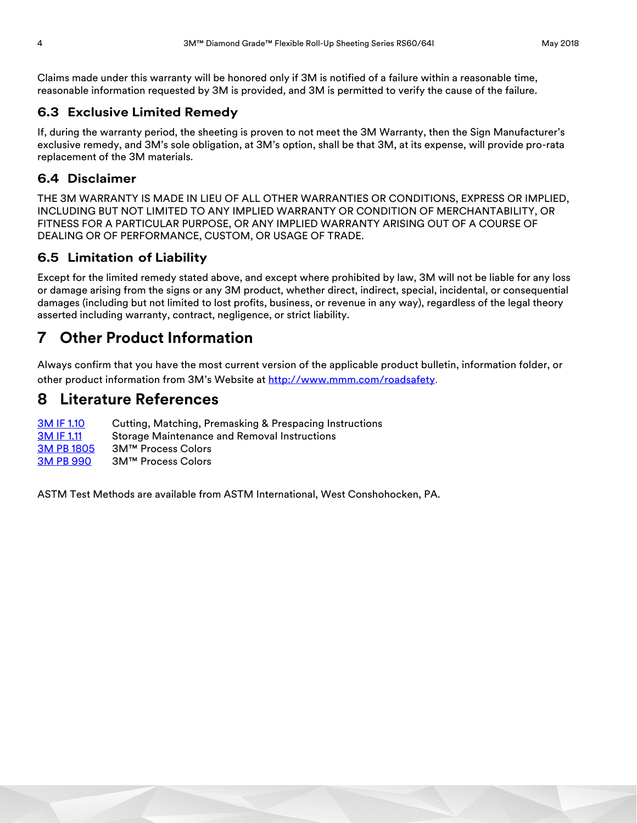Claims made under this warranty will be honored only if 3M is notified of a failure within a reasonable time, reasonable information requested by 3M is provided, and 3M is permitted to verify the cause of the failure.

#### **6.3 Exclusive Limited Remedy**

If, during the warranty period, the sheeting is proven to not meet the 3M Warranty, then the Sign Manufacturer's exclusive remedy, and 3M's sole obligation, at 3M's option, shall be that 3M, at its expense, will provide pro-rata replacement of the 3M materials.

#### **6.4 Disclaimer**

THE 3M WARRANTY IS MADE IN LIEU OF ALL OTHER WARRANTIES OR CONDITIONS, EXPRESS OR IMPLIED, INCLUDING BUT NOT LIMITED TO ANY IMPLIED WARRANTY OR CONDITION OF MERCHANTABILITY, OR FITNESS FOR A PARTICULAR PURPOSE, OR ANY IMPLIED WARRANTY ARISING OUT OF A COURSE OF DEALING OR OF PERFORMANCE, CUSTOM, OR USAGE OF TRADE.

### **6.5 Limitation of Liability**

Except for the limited remedy stated above, and except where prohibited by law, 3M will not be liable for any loss or damage arising from the signs or any 3M product, whether direct, indirect, special, incidental, or consequential damages (including but not limited to lost profits, business, or revenue in any way), regardless of the legal theory asserted including warranty, contract, negligence, or strict liability.

## **7 Other Product Information**

Always confirm that you have the most current version of the applicable product bulletin, information folder, or other product information from 3M's Website at [http://www.mmm.com/roadsafety](http://www.mmm.com/tss).

## **8 Literature References**

**[3M IF 1.10](http://multimedia.3m.com/mws/media/42264O/if-1-10-cutting-premasking-and-prespacing-instr.pdf)** Cutting, Matching, Premasking & Prespacing Instructions [3M IF 1.11](http://multimedia.3m.com/mws/media/42262O/if-1-11-3m-reflective-shtg-sign-maintenance-management.pdf) Storage Maintenance and Removal Instructions [3M PB 1805](http://multimedia.3m.com/mws/media/51341O/pb-1805-3mtm-process-color-1805.pdf) 3M™ Process Colors [3M PB 990](http://multimedia.3m.com/mws/media/42265O/pb-990-3m-process-color-series-990.pdf) 3M™ Process Colors

ASTM Test Methods are available from ASTM International, West Conshohocken, PA.